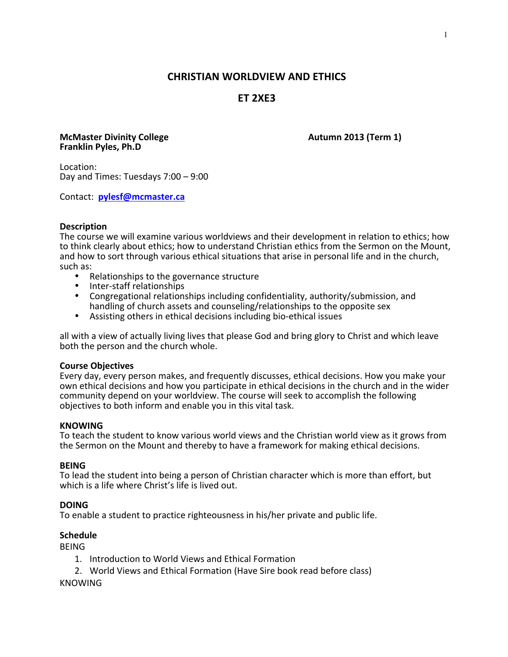# **CHRISTIAN WORLDVIEW AND ETHICS**

# **ET 2XE3**

### **McMaster Divinity College Autumn 2013 (Term 1) Franklin Pyles, Ph.D**

Location: Day and Times: Tuesdays  $7:00 - 9:00$ 

Contact: **pylesf@mcmaster.ca**

### **Description**

The course we will examine various worldviews and their development in relation to ethics; how to think clearly about ethics; how to understand Christian ethics from the Sermon on the Mount, and how to sort through various ethical situations that arise in personal life and in the church, such as:

- 
- 
- Relationships to the governance structure<br>• Inter-staff relationships<br>• Congregational relationships including confidentiality, authority/submission, and handling of church assets and counseling/relationships to the opposite sex
- Assisting others in ethical decisions including bio-ethical issues

all with a view of actually living lives that please God and bring glory to Christ and which leave both the person and the church whole.

#### **Course Objectives**

Every day, every person makes, and frequently discusses, ethical decisions. How you make your own ethical decisions and how you participate in ethical decisions in the church and in the wider community depend on your worldview. The course will seek to accomplish the following objectives to both inform and enable you in this vital task.

#### **KNOWING**

To teach the student to know various world views and the Christian world view as it grows from the Sermon on the Mount and thereby to have a framework for making ethical decisions.

#### **BEING**

To lead the student into being a person of Christian character which is more than effort, but which is a life where Christ's life is lived out.

#### **DOING**

To enable a student to practice righteousness in his/her private and public life.

# **Schedule**

BEING

- 1. Introduction to World Views and Ethical Formation
- 2. World Views and Ethical Formation (Have Sire book read before class)

# **KNOWING**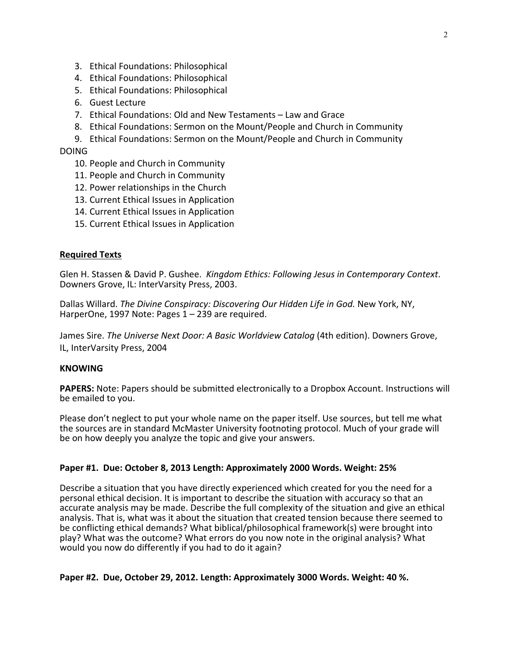- 3. Ethical Foundations: Philosophical
- 4. Ethical Foundations: Philosophical
- 5. Ethical Foundations: Philosophical
- 6. Guest Lecture
- 7. Ethical Foundations: Old and New Testaments Law and Grace
- 8. Ethical Foundations: Sermon on the Mount/People and Church in Community
- 9. Ethical Foundations: Sermon on the Mount/People and Church in Community

#### DOING

- 10. People and Church in Community
- 11. People and Church in Community
- 12. Power relationships in the Church
- 13. Current Ethical Issues in Application
- 14. Current Ethical Issues in Application
- 15. Current Ethical Issues in Application

#### **Required Texts**

Glen H. Stassen & David P. Gushee. Kingdom Ethics: Following Jesus in Contemporary Context. Downers Grove, IL: InterVarsity Press, 2003.

Dallas Willard. The Divine Conspiracy: Discovering Our Hidden Life in God. New York, NY, HarperOne, 1997 Note: Pages  $1 - 239$  are required.

James Sire. *The Universe Next Door: A Basic Worldview Catalog* (4th edition). Downers Grove, IL, InterVarsity Press, 2004

#### **KNOWING**

**PAPERS:** Note: Papers should be submitted electronically to a Dropbox Account. Instructions will be emailed to you.

Please don't neglect to put your whole name on the paper itself. Use sources, but tell me what the sources are in standard McMaster University footnoting protocol. Much of your grade will be on how deeply you analyze the topic and give your answers.

#### **Paper #1. Due: October 8, 2013 Length: Approximately 2000 Words. Weight: 25%**

Describe a situation that you have directly experienced which created for you the need for a personal ethical decision. It is important to describe the situation with accuracy so that an accurate analysis may be made. Describe the full complexity of the situation and give an ethical analysis. That is, what was it about the situation that created tension because there seemed to be conflicting ethical demands? What biblical/philosophical framework(s) were brought into play? What was the outcome? What errors do you now note in the original analysis? What would you now do differently if you had to do it again?

#### **Paper #2. Due, October 29, 2012. Length: Approximately 3000 Words. Weight: 40 %.**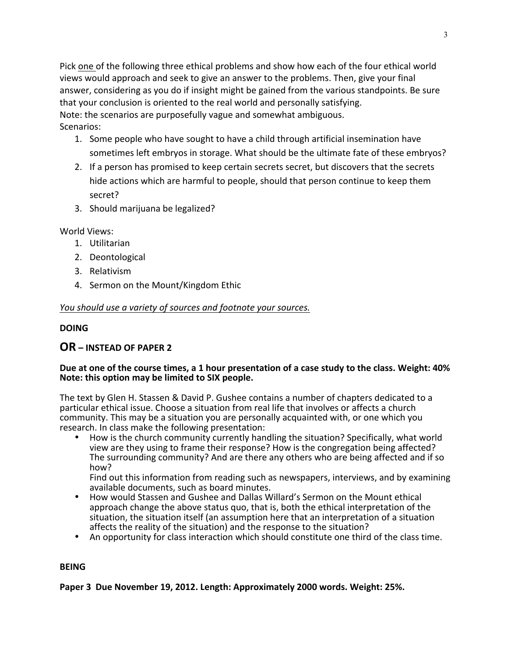Pick one of the following three ethical problems and show how each of the four ethical world views would approach and seek to give an answer to the problems. Then, give your final answer, considering as you do if insight might be gained from the various standpoints. Be sure that your conclusion is oriented to the real world and personally satisfying. Note: the scenarios are purposefully vague and somewhat ambiguous. Scenarios:

- 1. Some people who have sought to have a child through artificial insemination have sometimes left embryos in storage. What should be the ultimate fate of these embryos?
- 2. If a person has promised to keep certain secrets secret, but discovers that the secrets hide actions which are harmful to people, should that person continue to keep them secret?
- 3. Should marijuana be legalized?

World Views:

- 1. Utilitarian
- 2. Deontological
- 3. Relativism
- 4. Sermon on the Mount/Kingdom Ethic

# *You should use a variety of sources and footnote your sources.*

# **DOING**

# **OR – INSTEAD OF PAPER 2**

# Due at one of the course times, a 1 hour presentation of a case study to the class. Weight: 40% Note: this option may be limited to SIX people.

The text by Glen H. Stassen & David P. Gushee contains a number of chapters dedicated to a particular ethical issue. Choose a situation from real life that involves or affects a church community. This may be a situation you are personally acquainted with, or one which you research. In class make the following presentation:

How is the church community currently handling the situation? Specifically, what world view are they using to frame their response? How is the congregation being affected? The surrounding community? And are there any others who are being affected and if so how?

Find out this information from reading such as newspapers, interviews, and by examining available documents, such as board minutes.

- How would Stassen and Gushee and Dallas Willard's Sermon on the Mount ethical approach change the above status quo, that is, both the ethical interpretation of the situation, the situation itself (an assumption here that an interpretation of a situation affects the reality of the situation) and the response to the situation?
- An opportunity for class interaction which should constitute one third of the class time.

# **BEING**

**Paper 3** Due November 19, 2012. Length: Approximately 2000 words. Weight: 25%.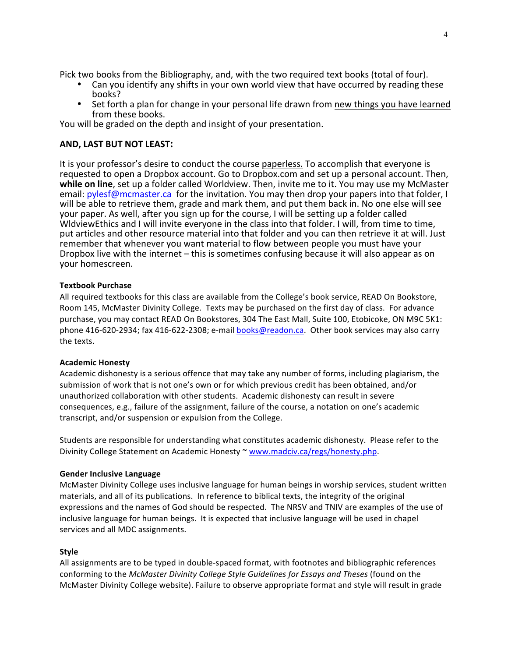Pick two books from the Bibliography, and, with the two required text books (total of four).

- Can you identify any shifts in your own world view that have occurred by reading these books?
- Set forth a plan for change in your personal life drawn from new things you have learned from these books.

You will be graded on the depth and insight of your presentation.

# **AND, LAST BUT NOT LEAST:**

It is your professor's desire to conduct the course paperless. To accomplish that everyone is requested to open a Dropbox account. Go to Dropbox.com and set up a personal account. Then, while on line, set up a folder called Worldview. Then, invite me to it. You may use my McMaster email: pylesf@mcmaster.ca for the invitation. You may then drop your papers into that folder, I will be able to retrieve them, grade and mark them, and put them back in. No one else will see your paper. As well, after you sign up for the course, I will be setting up a folder called WldviewEthics and I will invite everyone in the class into that folder. I will, from time to time, put articles and other resource material into that folder and you can then retrieve it at will. Just remember that whenever you want material to flow between people you must have your Dropbox live with the internet – this is sometimes confusing because it will also appear as on your homescreen.

### **Textbook Purchase**

All required textbooks for this class are available from the College's book service, READ On Bookstore, Room 145, McMaster Divinity College. Texts may be purchased on the first day of class. For advance purchase, you may contact READ On Bookstores, 304 The East Mall, Suite 100, Etobicoke, ON M9C 5K1: phone 416-620-2934; fax 416-622-2308; e-mail books@readon.ca. Other book services may also carry the texts.

#### **Academic Honesty**

Academic dishonesty is a serious offence that may take any number of forms, including plagiarism, the submission of work that is not one's own or for which previous credit has been obtained, and/or unauthorized collaboration with other students. Academic dishonesty can result in severe consequences, e.g., failure of the assignment, failure of the course, a notation on one's academic transcript, and/or suspension or expulsion from the College.

Students are responsible for understanding what constitutes academic dishonesty. Please refer to the Divinity College Statement on Academic Honesty ~ www.madciv.ca/regs/honesty.php.

#### **Gender Inclusive Language**

McMaster Divinity College uses inclusive language for human beings in worship services, student written materials, and all of its publications. In reference to biblical texts, the integrity of the original expressions and the names of God should be respected. The NRSV and TNIV are examples of the use of inclusive language for human beings. It is expected that inclusive language will be used in chapel services and all MDC assignments.

#### **Style**

All assignments are to be typed in double-spaced format, with footnotes and bibliographic references conforming to the *McMaster Divinity College Style Guidelines for Essays and Theses* (found on the McMaster Divinity College website). Failure to observe appropriate format and style will result in grade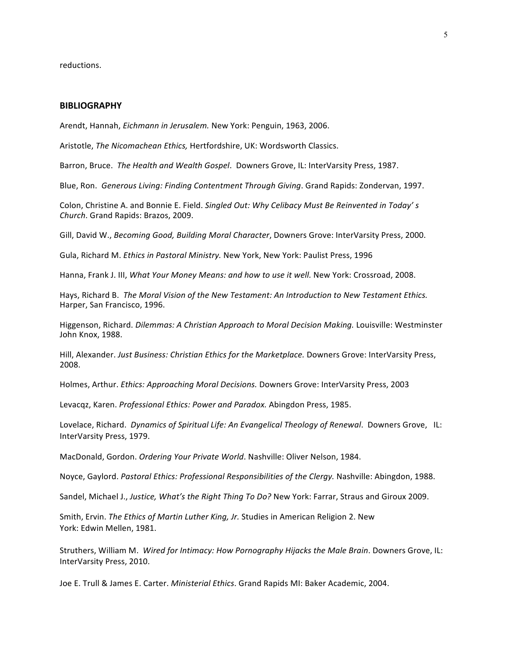reductions. 

#### **BIBLIOGRAPHY**

Arendt, Hannah, *Eichmann in Jerusalem*. New York: Penguin, 1963, 2006.

Aristotle, The Nicomachean Ethics, Hertfordshire, UK: Wordsworth Classics.

Barron, Bruce. The Health and Wealth Gospel. Downers Grove, IL: InterVarsity Press, 1987.

Blue, Ron. Generous Living: Finding Contentment Through Giving. Grand Rapids: Zondervan, 1997.

Colon, Christine A. and Bonnie E. Field. Singled Out: Why Celibacy Must Be Reinvented in Today's *Church*. Grand Rapids: Brazos, 2009.

Gill, David W., Becoming Good, Building Moral Character, Downers Grove: InterVarsity Press, 2000.

Gula, Richard M. *Ethics in Pastoral Ministry*. New York, New York: Paulist Press, 1996

Hanna, Frank J. III, *What Your Money Means: and how to use it well*. New York: Crossroad, 2008.

Hays, Richard B. The Moral Vision of the New Testament: An Introduction to New Testament Ethics. Harper, San Francisco, 1996.

Higgenson, Richard. *Dilemmas: A Christian Approach to Moral Decision Making.* Louisville: Westminster John Knox, 1988.

Hill, Alexander. Just Business: Christian Ethics for the Marketplace. Downers Grove: InterVarsity Press, 2008.

Holmes, Arthur. *Ethics: Approaching Moral Decisions.* Downers Grove: InterVarsity Press, 2003

Levacqz, Karen. *Professional Ethics: Power and Paradox.* Abingdon Press, 1985.

Lovelace, Richard. *Dynamics of Spiritual Life: An Evangelical Theology of Renewal.* Downers Grove, IL: InterVarsity Press, 1979.

MacDonald, Gordon. *Ordering Your Private World*. Nashville: Oliver Nelson, 1984.

Noyce, Gaylord. *Pastoral Ethics: Professional Responsibilities of the Clergy.* Nashville: Abingdon, 1988.

Sandel, Michael J., Justice, What's the Right Thing To Do? New York: Farrar, Straus and Giroux 2009.

Smith, Ervin. The Ethics of Martin Luther King, Jr. Studies in American Religion 2. New York: Edwin Mellen, 1981.

Struthers, William M. Wired for Intimacy: How Pornography Hijacks the Male Brain. Downers Grove, IL: InterVarsity Press, 2010.

Joe E. Trull & James E. Carter. *Ministerial Ethics*. Grand Rapids MI: Baker Academic, 2004.